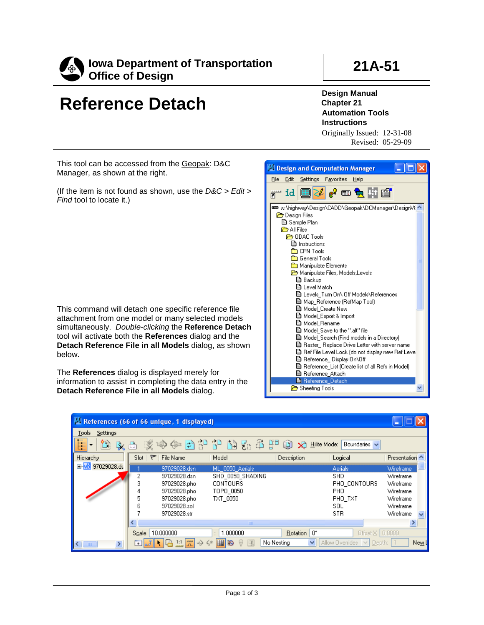

## **21A-51**

## **Reference Detach**

**Design Manual Chapter 21 Automation Tools Instructions** Originally Issued: 12-31-08

Revised: 05-29-09

This tool can be accessed from the Geopak: D&C Manager, as shown at the right.

(If the item is not found as shown, use the *D&C > Edit > Find* tool to locate it.)

This command will detach one specific reference file attachment from one model or many selected models simultaneously. *Double-clicking* the **Reference Detach** tool will activate both the **References** dialog and the **Detach Reference File in all Models** dialog, as shown below.

The **References** dialog is displayed merely for information to assist in completing the data entry in the **Detach Reference File in all Models** dialog.



| References (66 of 66 unique, 1 displayed)                             |                             |                                                     |                     |                    |                                     |                           |  |  |
|-----------------------------------------------------------------------|-----------------------------|-----------------------------------------------------|---------------------|--------------------|-------------------------------------|---------------------------|--|--|
| Tools<br>Settings                                                     |                             |                                                     |                     |                    |                                     |                           |  |  |
| 以中午口的中国品书里田<br>恮<br>E:<br>Hilite Mode:<br>Boundaries $\vee$<br>≫<br>矗 |                             |                                                     |                     |                    |                                     |                           |  |  |
| Hierarchy                                                             | $Slot \rvert \rvert \rvert$ | File Name                                           | Model               | <b>Description</b> | Logical                             | Presentation <sup>A</sup> |  |  |
| 97029028.ds                                                           |                             | 97029028.dsn                                        | ML 0050 Aerials     |                    | <b>Aerials</b>                      | Wireframe                 |  |  |
|                                                                       | 2                           | 97029028.dsn                                        | SHD 0050 SHADING    |                    | SHD                                 | Wireframe                 |  |  |
|                                                                       |                             | 97029028.pho                                        | <b>CONTOURS</b>     |                    | PHO CONTOURS                        | Wireframe                 |  |  |
|                                                                       | 4                           | 97029028.pho                                        | TOPO 0050           |                    | PHO.                                | Wireframe                 |  |  |
|                                                                       | 5                           | 97029028.pho                                        | TXT 0050            |                    | PHO TXT                             | Wireframe                 |  |  |
|                                                                       | 6                           | 97029028.sol                                        |                     |                    | SOL                                 | Wireframe                 |  |  |
|                                                                       |                             | 97029028.str                                        |                     |                    | <b>STR</b>                          | Wireframe<br>v            |  |  |
|                                                                       |                             |                                                     | TIII                |                    |                                     |                           |  |  |
|                                                                       | Scale   10.000000           |                                                     | .000000<br>÷        | 0°<br>Rotation     | Offset $\times$   0.0000            |                           |  |  |
| ×<br>TILL:                                                            | $\bullet$                   | $\mathbf{B}$<br>$\mathbb{R} \rightarrow \mathbb{C}$ | 囲<br>回<br><b>IQ</b> | No Nesting<br>v    | Allow Overrides<br>Depth:<br>$\vee$ | New I                     |  |  |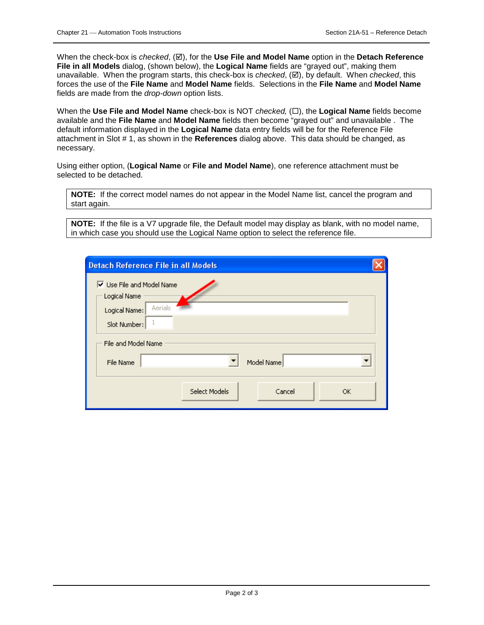When the check-box is *checked*,  $(\boxtimes)$ , for the **Use File and Model Name** option in the **Detach Reference File in all Models** dialog, (shown below), the **Logical Name** fields are "grayed out", making them unavailable. When the program starts, this check-box is *checked*, ( $\boxtimes$ ), by default. When *checked*, this forces the use of the **File Name** and **Model Name** fields. Selections in the **File Name** and **Model Name** fields are made from the *drop-down* option lists.

When the Use File and Model Name check-box is NOT *checked*, ( $\square$ ), the Logical Name fields become available and the **File Name** and **Model Name** fields then become "grayed out" and unavailable . The default information displayed in the **Logical Name** data entry fields will be for the Reference File attachment in Slot # 1, as shown in the **References** dialog above. This data should be changed, as necessary.

Using either option, (**Logical Name** or **File and Model Name**), one reference attachment must be selected to be detached.

**NOTE:** If the correct model names do not appear in the Model Name list, cancel the program and start again.

**NOTE:** If the file is a V7 upgrade file, the Default model may display as blank, with no model name, in which case you should use the Logical Name option to select the reference file.

| <b>Detach Reference File in all Models</b>                                                   |                               |  |  |  |  |  |
|----------------------------------------------------------------------------------------------|-------------------------------|--|--|--|--|--|
| <b>▽</b> Use File and Model Name<br>Logical Name<br>Aerials<br>Logical Name:<br>Slot Number: |                               |  |  |  |  |  |
| File and Model Name<br>File Name                                                             | Model Name                    |  |  |  |  |  |
|                                                                                              | Select Models<br>Cancel<br>OK |  |  |  |  |  |